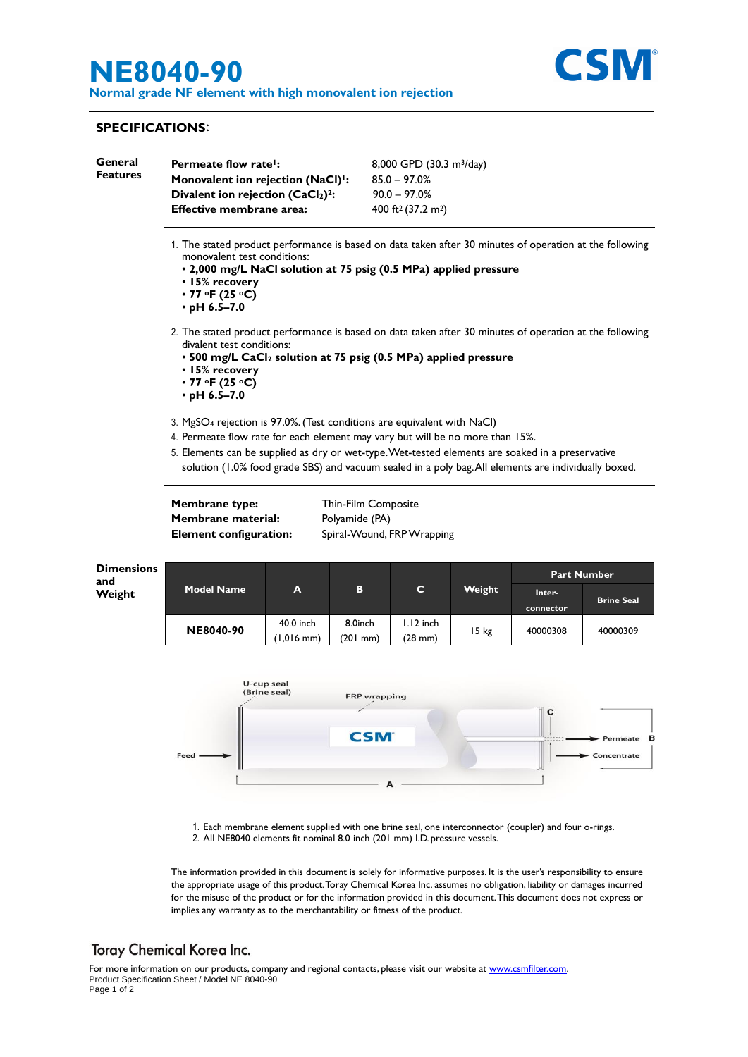# **NE8040-90**

**Normal grade NF element with high monovalent ion rejection**



### **SPECIFICATIONS**:

| General<br><b>Features</b> | Permeate flow rate!:<br>Monovalent ion rejection (NaCl) <sup>1</sup> :<br>Divalent ion rejection (CaCl2) <sup>2</sup> :                                                                                                                                                              |                            |                                                                     | 8,000 GPD (30.3 m <sup>3</sup> /day)<br>$85.0 - 97.0%$<br>$90.0 - 97.0%$ |         |          |                                  |  |  |
|----------------------------|--------------------------------------------------------------------------------------------------------------------------------------------------------------------------------------------------------------------------------------------------------------------------------------|----------------------------|---------------------------------------------------------------------|--------------------------------------------------------------------------|---------|----------|----------------------------------|--|--|
|                            | <b>Effective membrane area:</b>                                                                                                                                                                                                                                                      |                            |                                                                     | 400 ft <sup>2</sup> (37.2 m <sup>2</sup> )                               |         |          |                                  |  |  |
|                            | 1. The stated product performance is based on data taken after 30 minutes of operation at the following<br>monovalent test conditions:<br>. 2,000 mg/L NaCl solution at 75 psig (0.5 MPa) applied pressure<br>• 15% recovery<br>$\cdot$ 77 °F (25 °C)<br>$\cdot$ pH 6.5-7.0          |                            |                                                                     |                                                                          |         |          |                                  |  |  |
|                            | 2. The stated product performance is based on data taken after 30 minutes of operation at the following<br>divalent test conditions:<br>• 500 mg/L CaCl <sub>2</sub> solution at 75 psig (0.5 MPa) applied pressure<br>• 15% recovery<br>$\cdot$ 77 °F (25 °C)<br>$\cdot$ pH 6.5–7.0 |                            |                                                                     |                                                                          |         |          |                                  |  |  |
|                            | 3. MgSO <sub>4</sub> rejection is 97.0%. (Test conditions are equivalent with NaCl)<br>4. Permeate flow rate for each element may vary but will be no more than 15%.                                                                                                                 |                            |                                                                     |                                                                          |         |          |                                  |  |  |
|                            |                                                                                                                                                                                                                                                                                      |                            |                                                                     |                                                                          |         |          |                                  |  |  |
|                            | Membrane type:<br>Membrane material:<br><b>Element configuration:</b>                                                                                                                                                                                                                |                            | Thin-Film Composite<br>Polyamide (PA)<br>Spiral-Wound, FRP Wrapping |                                                                          |         |          |                                  |  |  |
|                            | <b>Dimensions</b><br>and<br>Weight                                                                                                                                                                                                                                                   |                            |                                                                     |                                                                          | C       | Weight   | <b>Part Number</b>               |  |  |
| <b>Model Name</b>          |                                                                                                                                                                                                                                                                                      | A                          | в                                                                   | Inter-<br>connector                                                      |         |          | <b>Brine Seal</b>                |  |  |
|                            | <b>NE8040-90</b>                                                                                                                                                                                                                                                                     | 40.0 inch<br>(1,016 mm)    | 8.0inch<br>$(201$ mm $)$                                            | $1.12$ inch<br>$(28$ mm $)$                                              | $15$ kg | 40000308 | 40000309                         |  |  |
|                            | Feed ·                                                                                                                                                                                                                                                                               | U-cup seal<br>(Brine seal) | <b>FRP</b> wrapping<br><b>CSM</b>                                   |                                                                          |         |          | Permeate <b>B</b><br>Concentrate |  |  |
|                            |                                                                                                                                                                                                                                                                                      |                            |                                                                     |                                                                          |         |          |                                  |  |  |

1. Each membrane element supplied with one brine seal, one interconnector (coupler) and four o-rings. 2. All NE8040 elements fit nominal 8.0 inch (201 mm) I.D. pressure vessels.

The information provided in this document is solely for informative purposes. It is the user's responsibility to ensure the appropriate usage of this product. Toray Chemical Korea Inc. assumes no obligation, liability or damages incurred for the misuse of the product or for the information provided in this document.This document does not express or implies any warranty as to the merchantability or fitness of the product.

## **Toray Chemical Korea Inc.**

For more information on our products, company and regional contacts, please visit our website at [www.csmfilter.com.](http://www.csmfilter.com/) Product Specification Sheet / Model NE 8040-90

Page 1 of 2